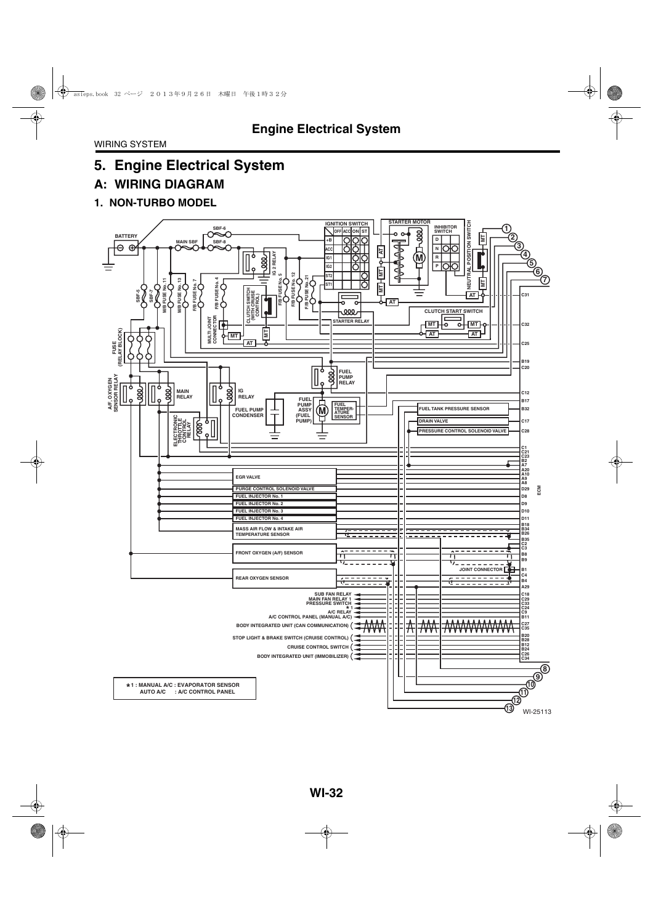# **A: WIRING DIAGRAM**

### **1. NON-TURBO MODEL**

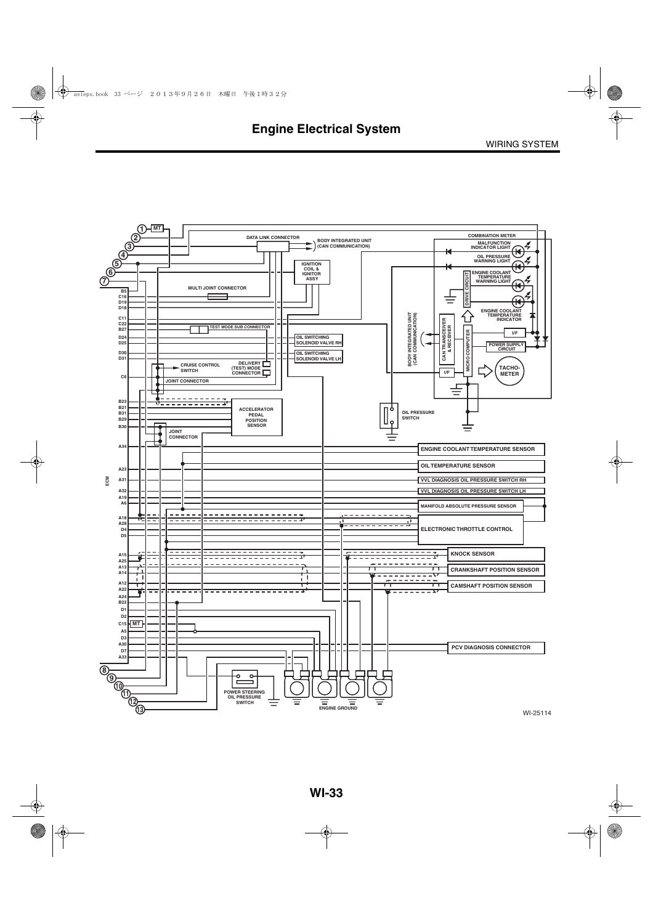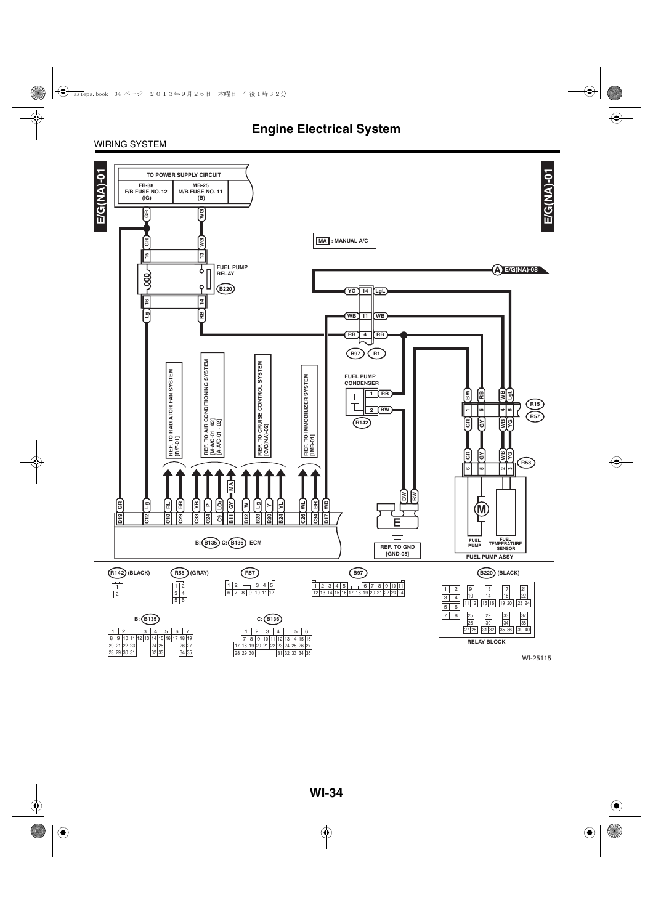#### WIRING SYSTEM

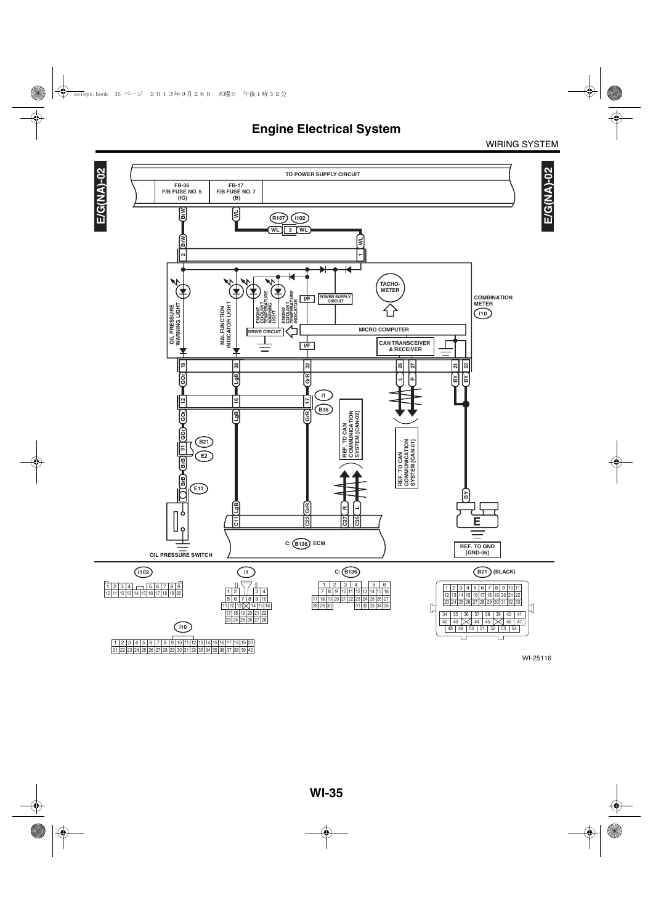WIRING SYSTEM

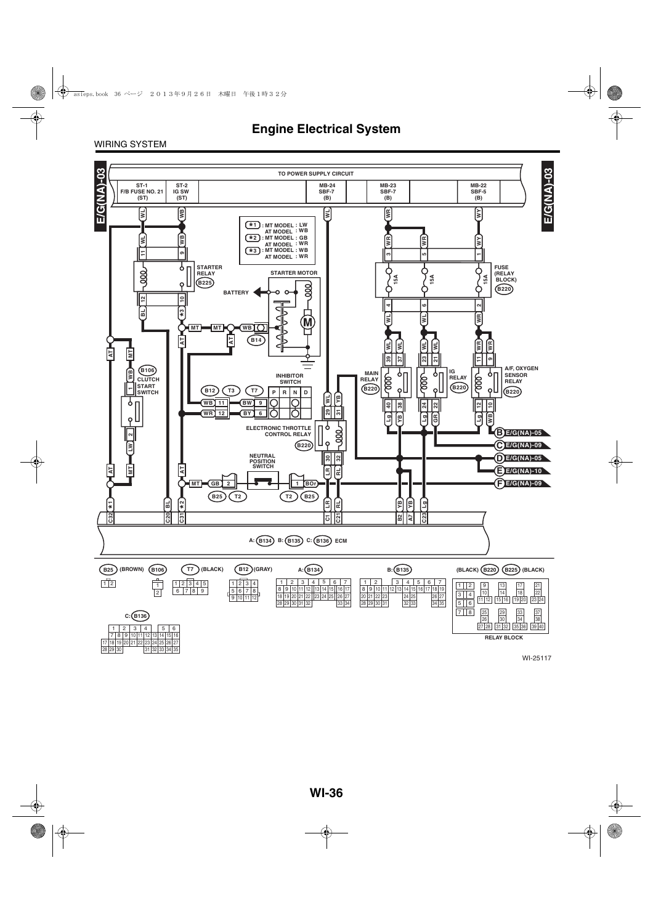

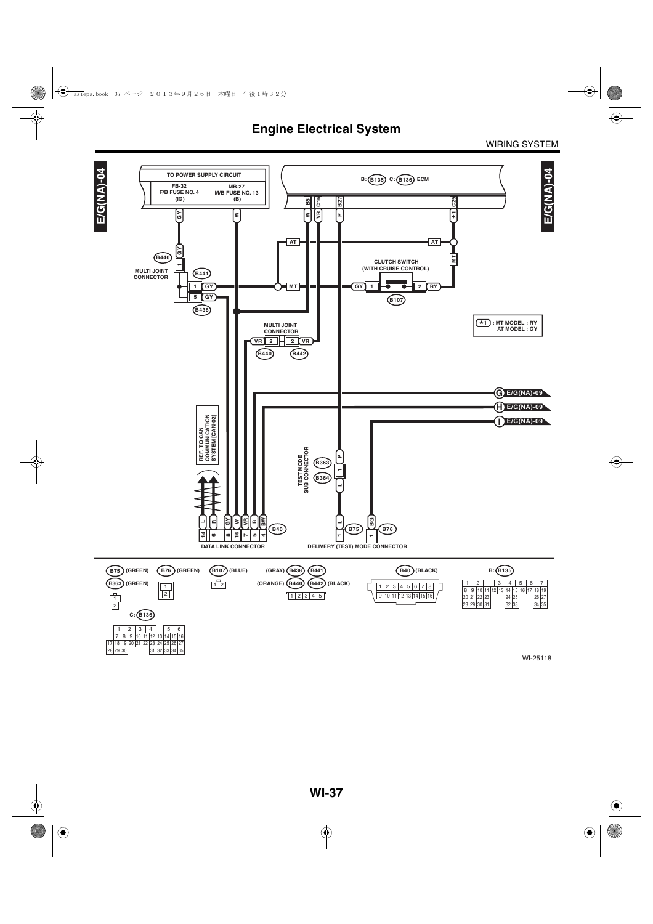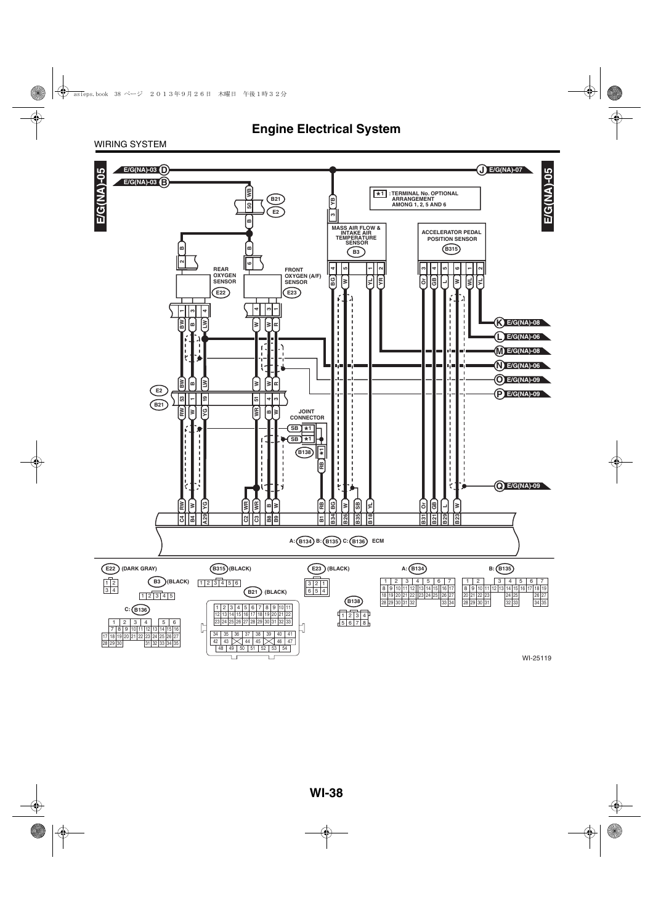WIRING SYSTEM

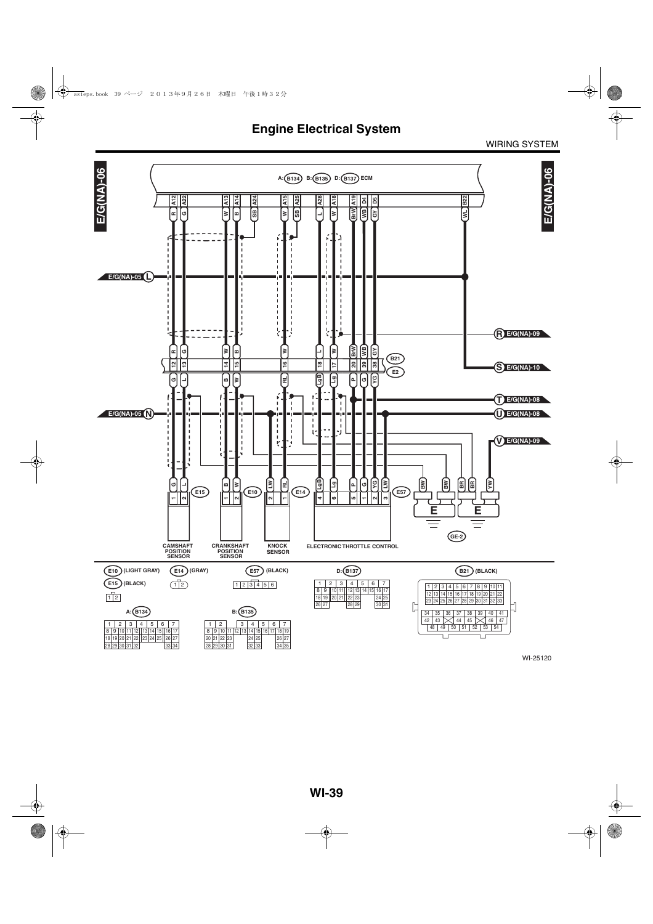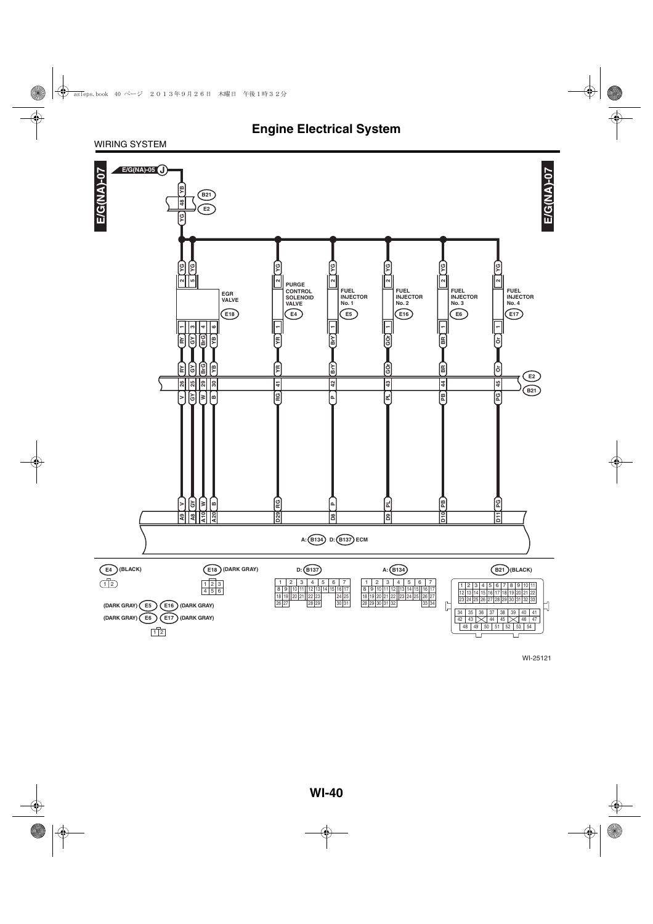#### WIRING SYSTEM

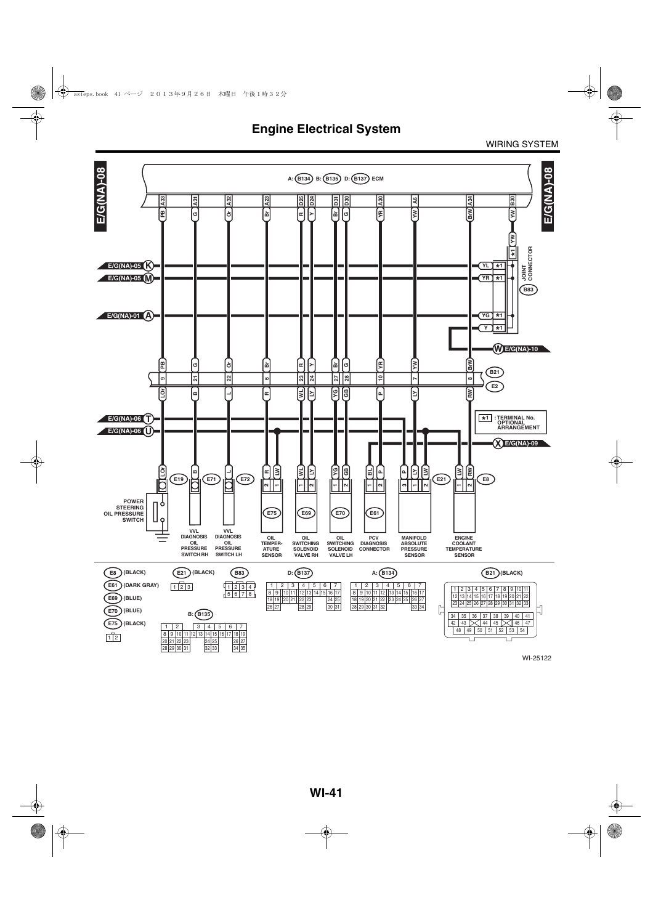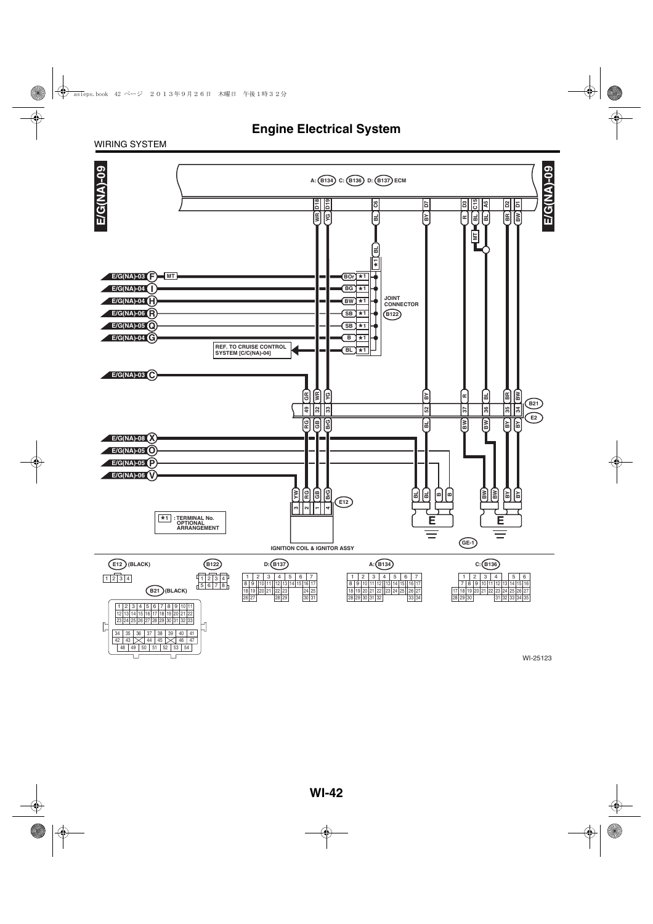#### WIRING SYSTEM

Ţ

 $\Box$ 

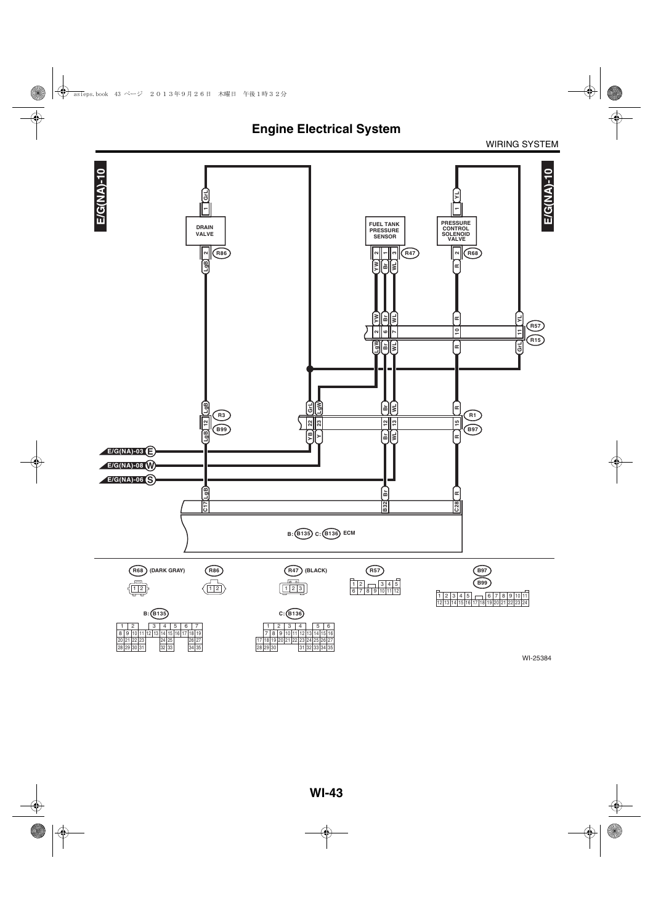**Engine Electrical System**

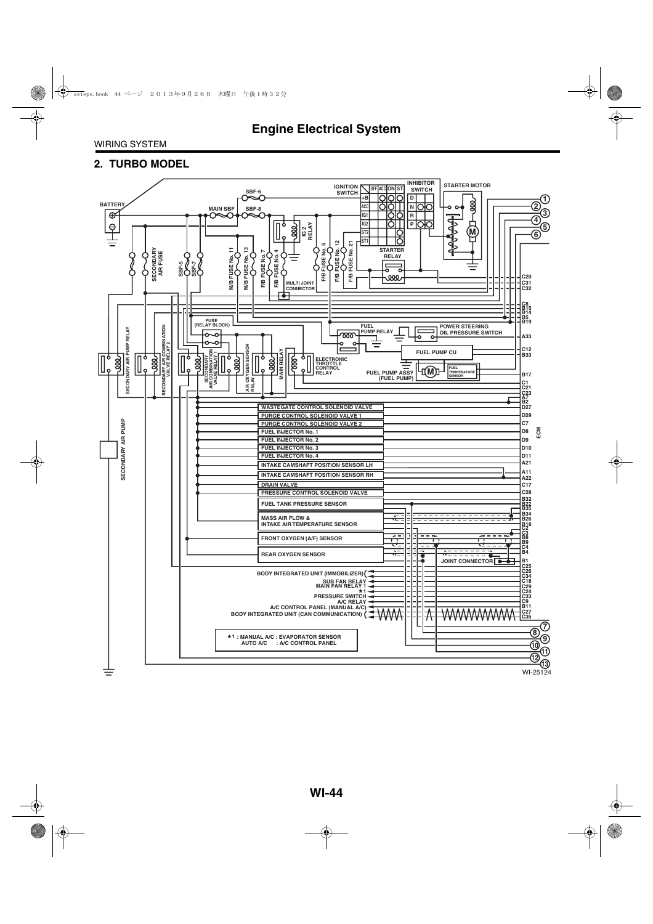#### **2. TURBO MODEL**

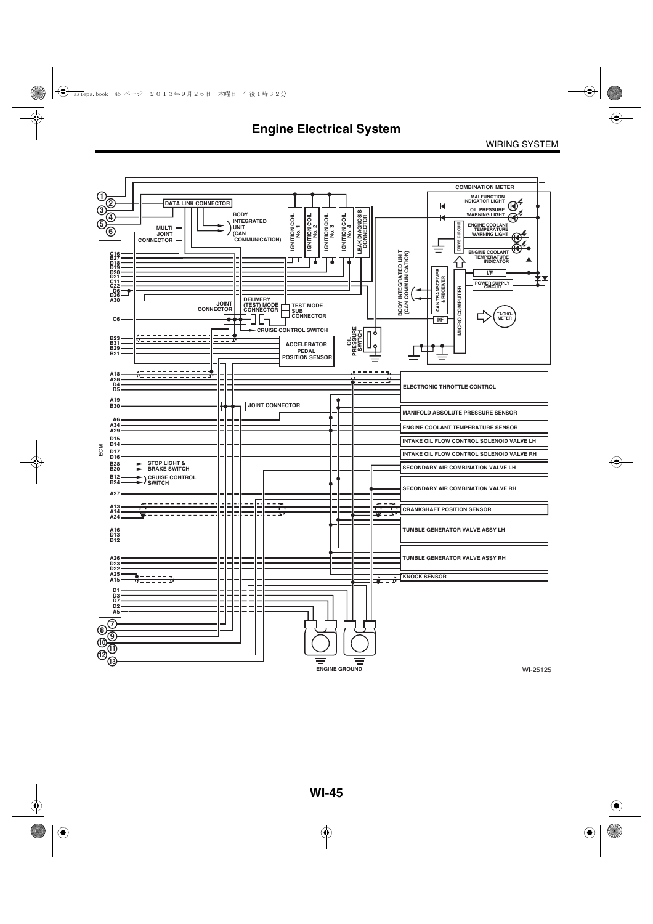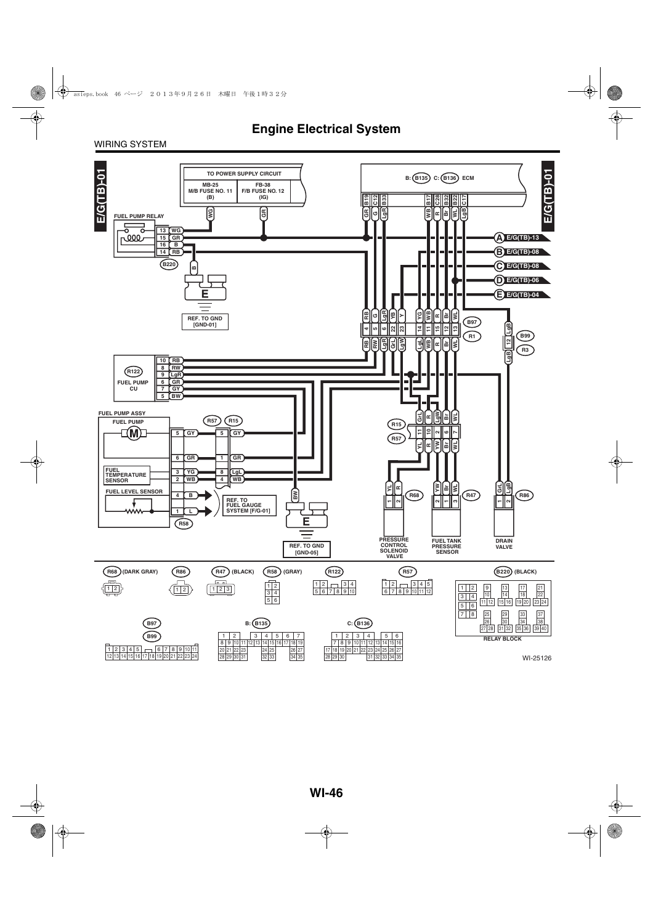#### WIRING SYSTEM

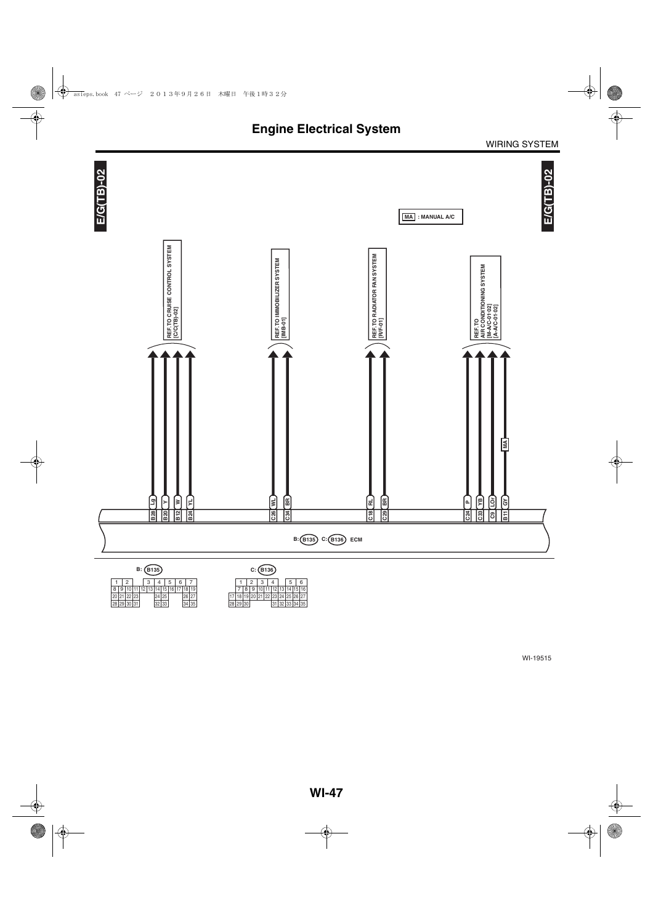

 $1 \mid 2 \mid 3 \mid 4 \mid 5 \mid 6 \mid 7$ 29 10 11 12 13 14 15 24 25 16 30  $\begin{array}{|c|c|c|c|c|c|}\n \hline\n 8 & 9 & 10 & 11 & 12 & 13 & 14 & 15 & 16 & 17 & 18 & 19 \\
\hline\n 20 & 21 & 22 & 23 & 24 & 25 & 26 & 27 \\
\hline\n 28 & 29 & 30 & 31 & 32 & 33 & 34 & 35\n \end{array}$ 

19 | 10 | 11 | 12 | 13 | 14 | 15 | 16<br>19 | 20 | 21 | 22 | 23 | 24 | 25 | 26 | 27<br>30 | 31 | 32 | 33 | 34 | 35 7 8 9 10 11 12 13<br>18 19 20 21 22 23 24<br>29 30 31 32 17 18 19 20<br>28 29 30  $1 \mid 2 \mid 3 \mid 4 \mid 5 \mid 6$ 25 26 27<br>33 34 35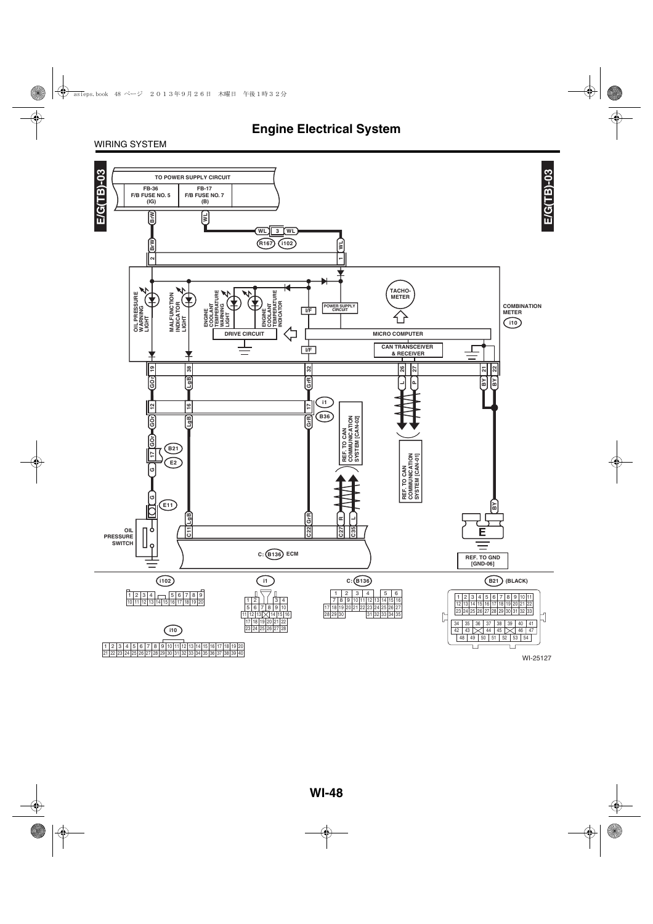#### WIRING SYSTEM

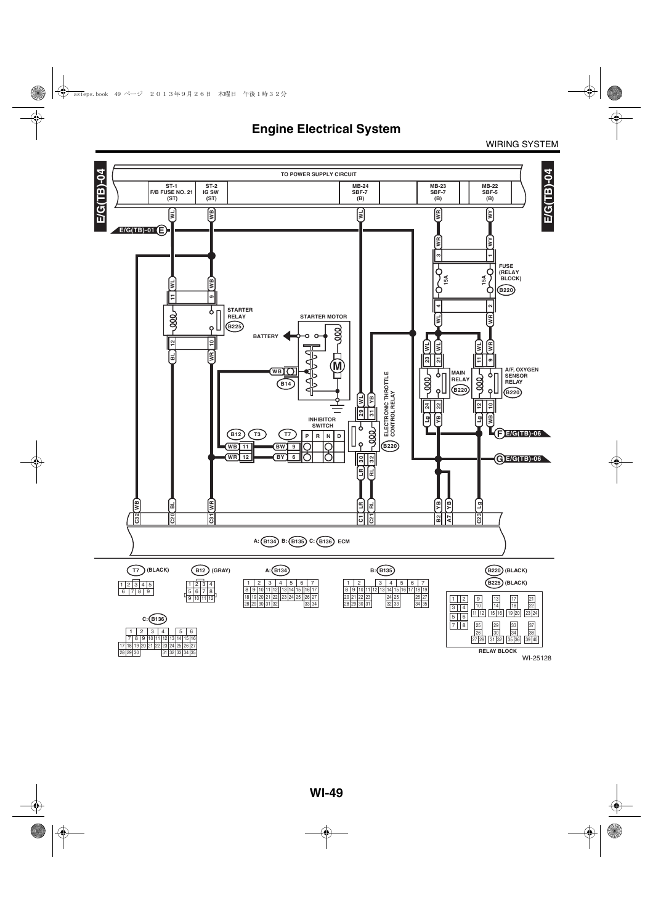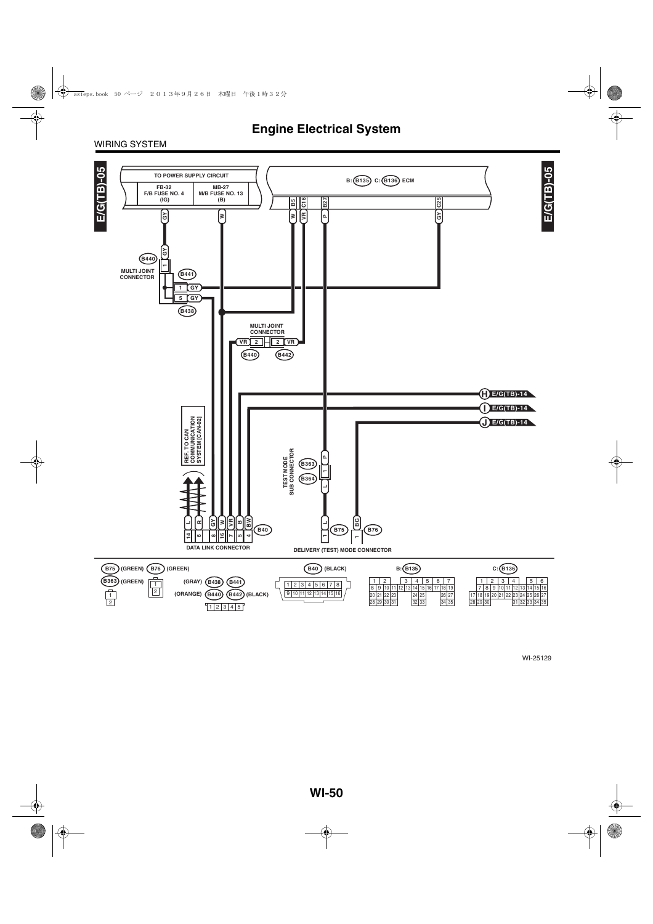#### WIRING SYSTEM

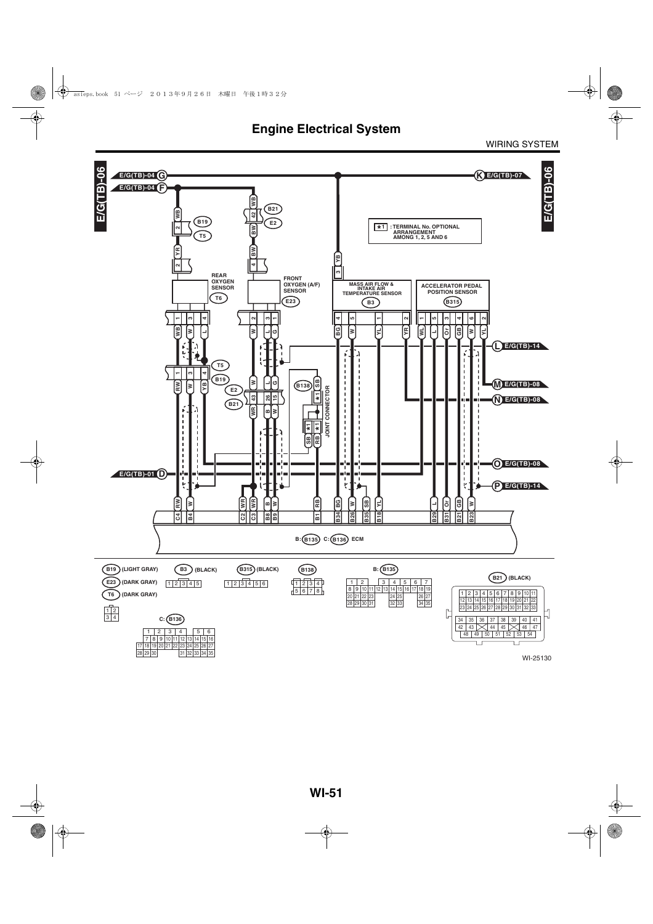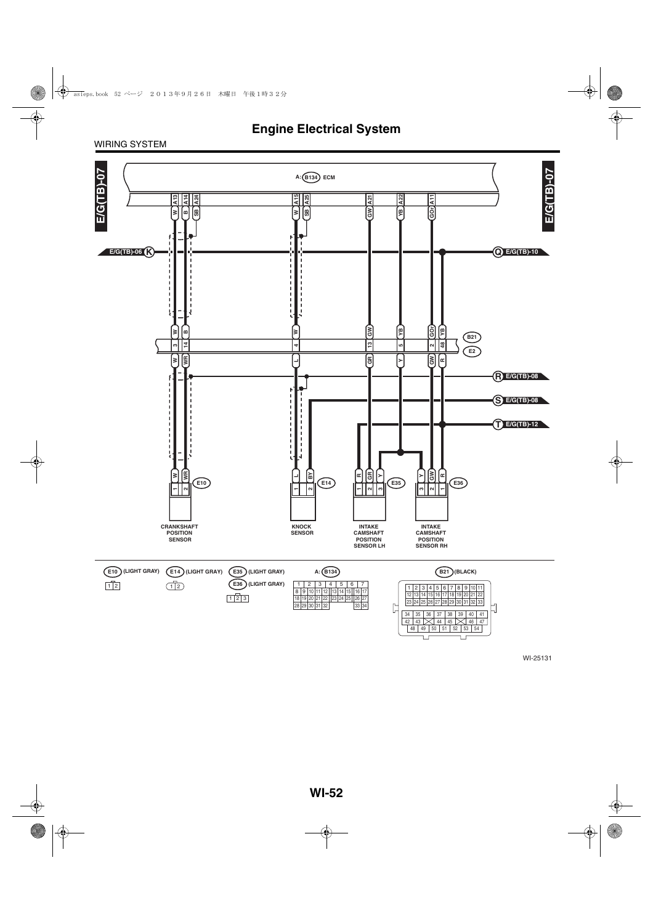#### WIRING SYSTEM

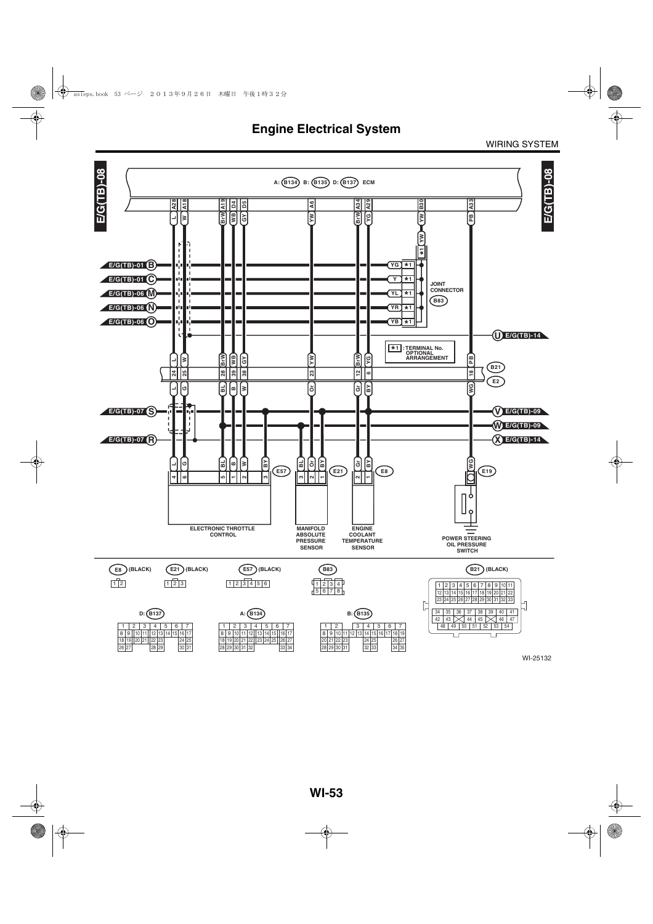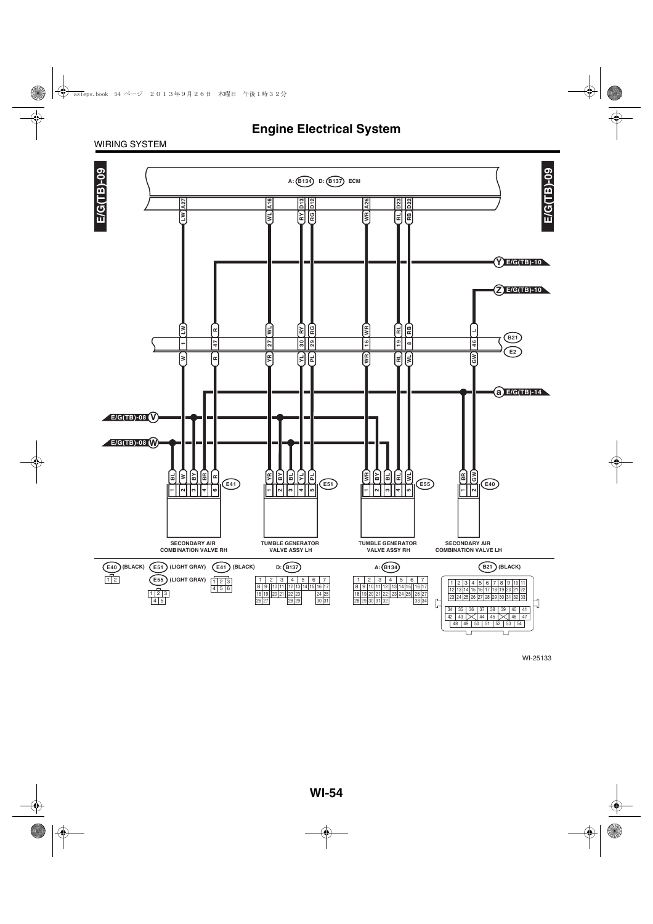#### WIRING SYSTEM

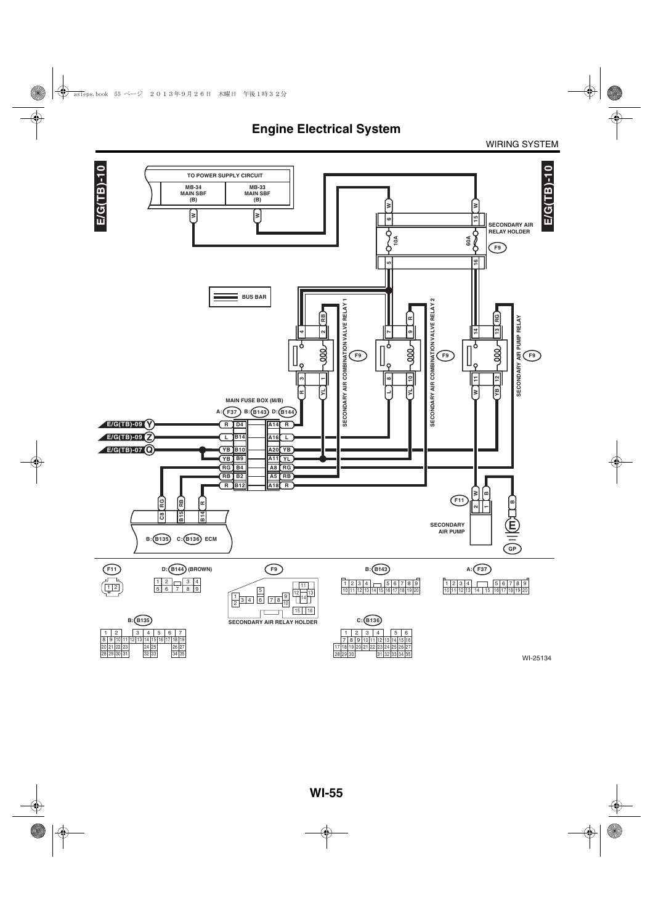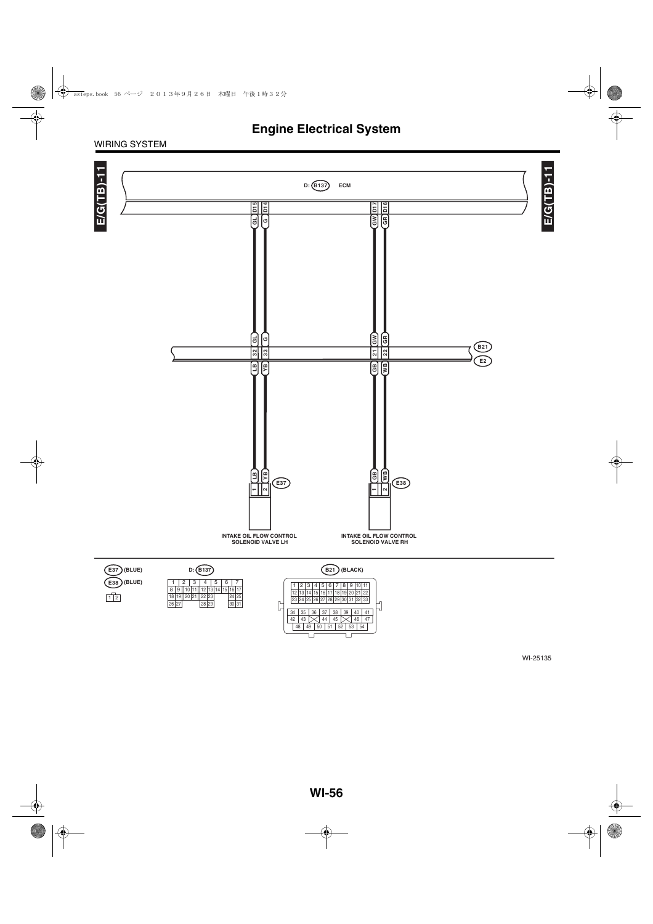#### WIRING SYSTEM

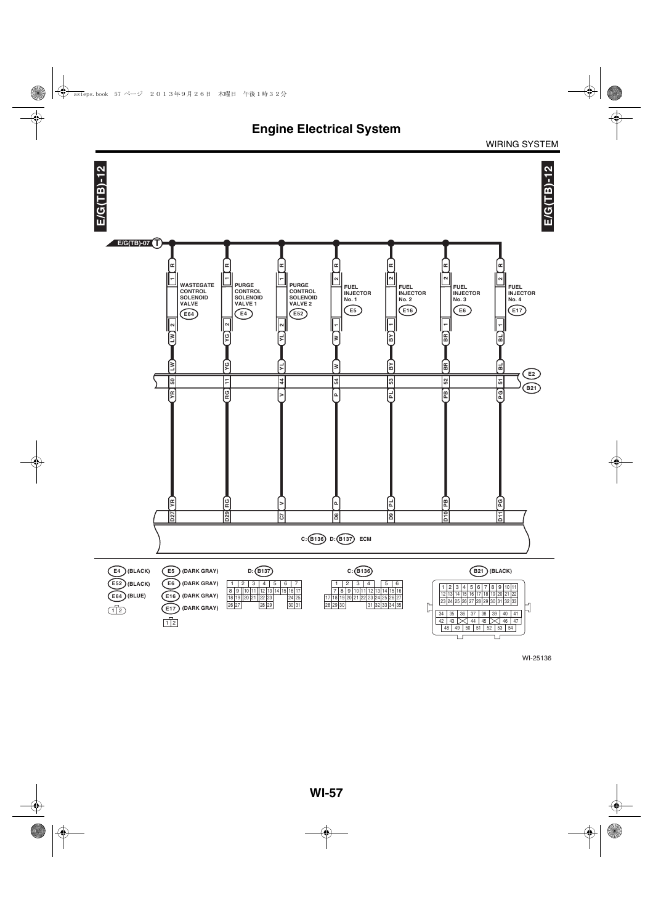

WI-25136

 $\Box$ 

īг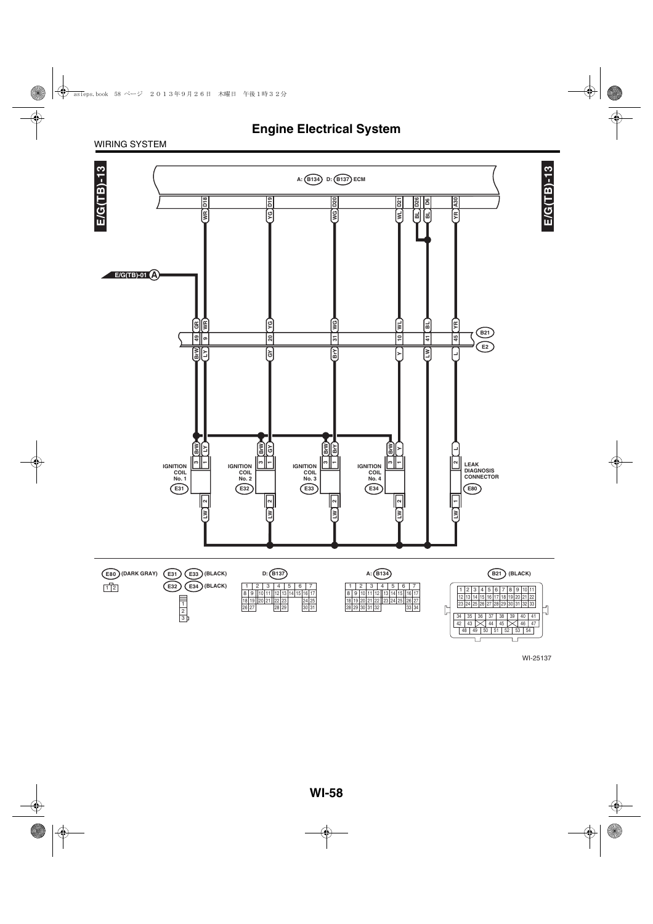